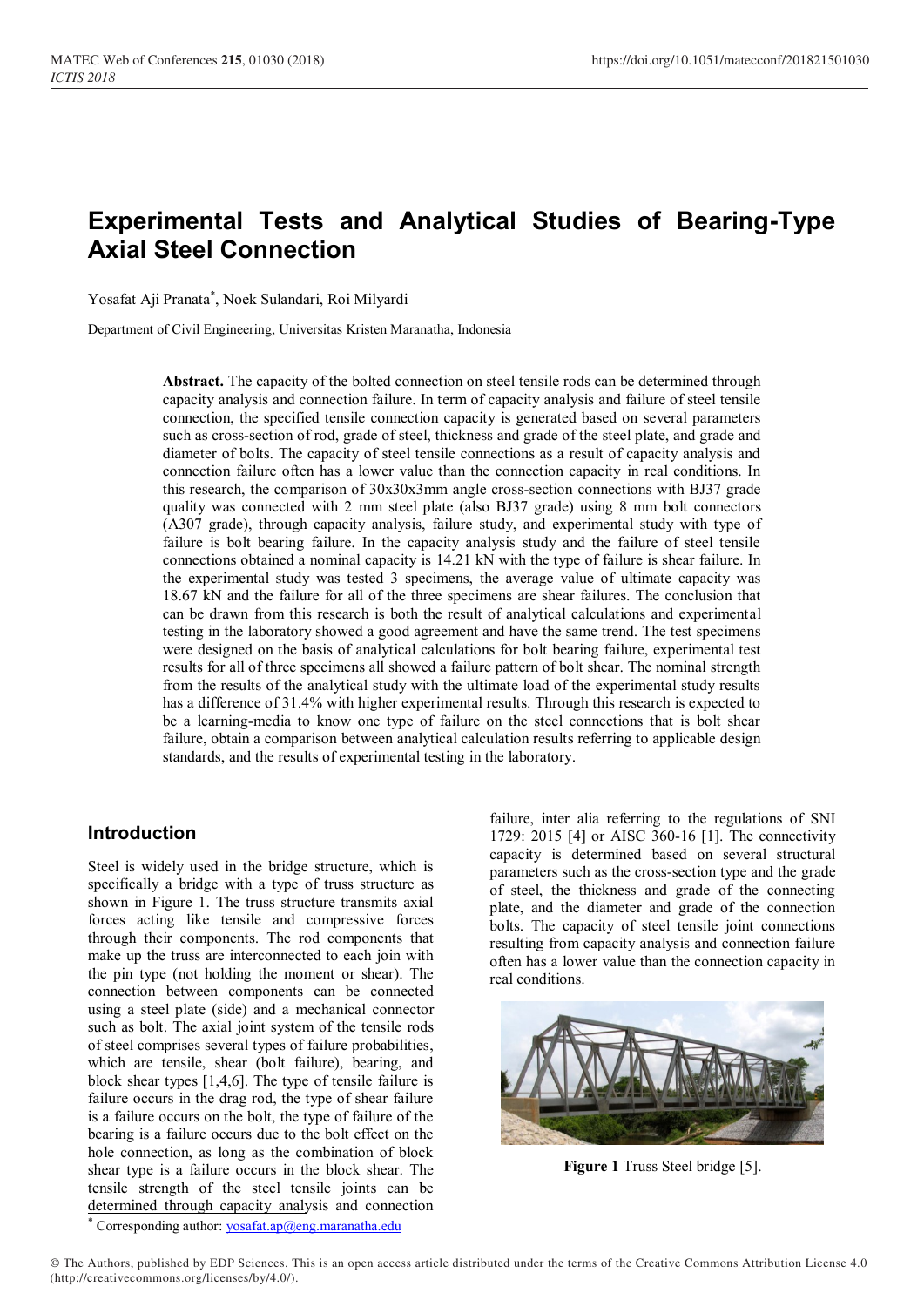# **Experimental Tests and Analytical Studies of Bearing-Type Axial Steel Connection**

Yosafat Aji Pranata\* , Noek Sulandari, Roi Milyardi

Department of Civil Engineering, Universitas Kristen Maranatha, Indonesia

**Abstract.** The capacity of the bolted connection on steel tensile rods can be determined through capacity analysis and connection failure. In term of capacity analysis and failure of steel tensile connection, the specified tensile connection capacity is generated based on several parameters such as cross-section of rod, grade of steel, thickness and grade of the steel plate, and grade and diameter of bolts. The capacity of steel tensile connections as a result of capacity analysis and connection failure often has a lower value than the connection capacity in real conditions. In this research, the comparison of 30x30x3mm angle cross-section connections with BJ37 grade quality was connected with 2 mm steel plate (also BJ37 grade) using 8 mm bolt connectors (A307 grade), through capacity analysis, failure study, and experimental study with type of failure is bolt bearing failure. In the capacity analysis study and the failure of steel tensile connections obtained a nominal capacity is 14.21 kN with the type of failure is shear failure. In the experimental study was tested 3 specimens, the average value of ultimate capacity was 18.67 kN and the failure for all of the three specimens are shear failures. The conclusion that can be drawn from this research is both the result of analytical calculations and experimental testing in the laboratory showed a good agreement and have the same trend. The test specimens were designed on the basis of analytical calculations for bolt bearing failure, experimental test results for all of three specimens all showed a failure pattern of bolt shear. The nominal strength from the results of the analytical study with the ultimate load of the experimental study results has a difference of 31.4% with higher experimental results. Through this research is expected to be a learning-media to know one type of failure on the steel connections that is bolt shear failure, obtain a comparison between analytical calculation results referring to applicable design standards, and the results of experimental testing in the laboratory.

### **Introduction**

Steel is widely used in the bridge structure, which is specifically a bridge with a type of truss structure as shown in Figure 1. The truss structure transmits axial forces acting like tensile and compressive forces through their components. The rod components that make up the truss are interconnected to each join with the pin type (not holding the moment or shear). The connection between components can be connected using a steel plate (side) and a mechanical connector such as bolt. The axial joint system of the tensile rods of steel comprises several types of failure probabilities, which are tensile, shear (bolt failure), bearing, and block shear types [1,4,6]. The type of tensile failure is failure occurs in the drag rod, the type of shear failure is a failure occurs on the bolt, the type of failure of the bearing is a failure occurs due to the bolt effect on the hole connection, as long as the combination of block shear type is a failure occurs in the block shear. The tensile strength of the steel tensile joints can be determined through capacity analysis and connection

failure, inter alia referring to the regulations of SNI 1729: 2015 [4] or AISC 360-16 [1]. The connectivity capacity is determined based on several structural parameters such as the cross-section type and the grade of steel, the thickness and grade of the connecting plate, and the diameter and grade of the connection bolts. The capacity of steel tensile joint connections resulting from capacity analysis and connection failure often has a lower value than the connection capacity in real conditions.



**Figure 1** Truss Steel bridge [5].

Corresponding author: [yosafat.ap@eng.maranatha.edu](mailto:yosafat.ap@eng.maranatha.edu)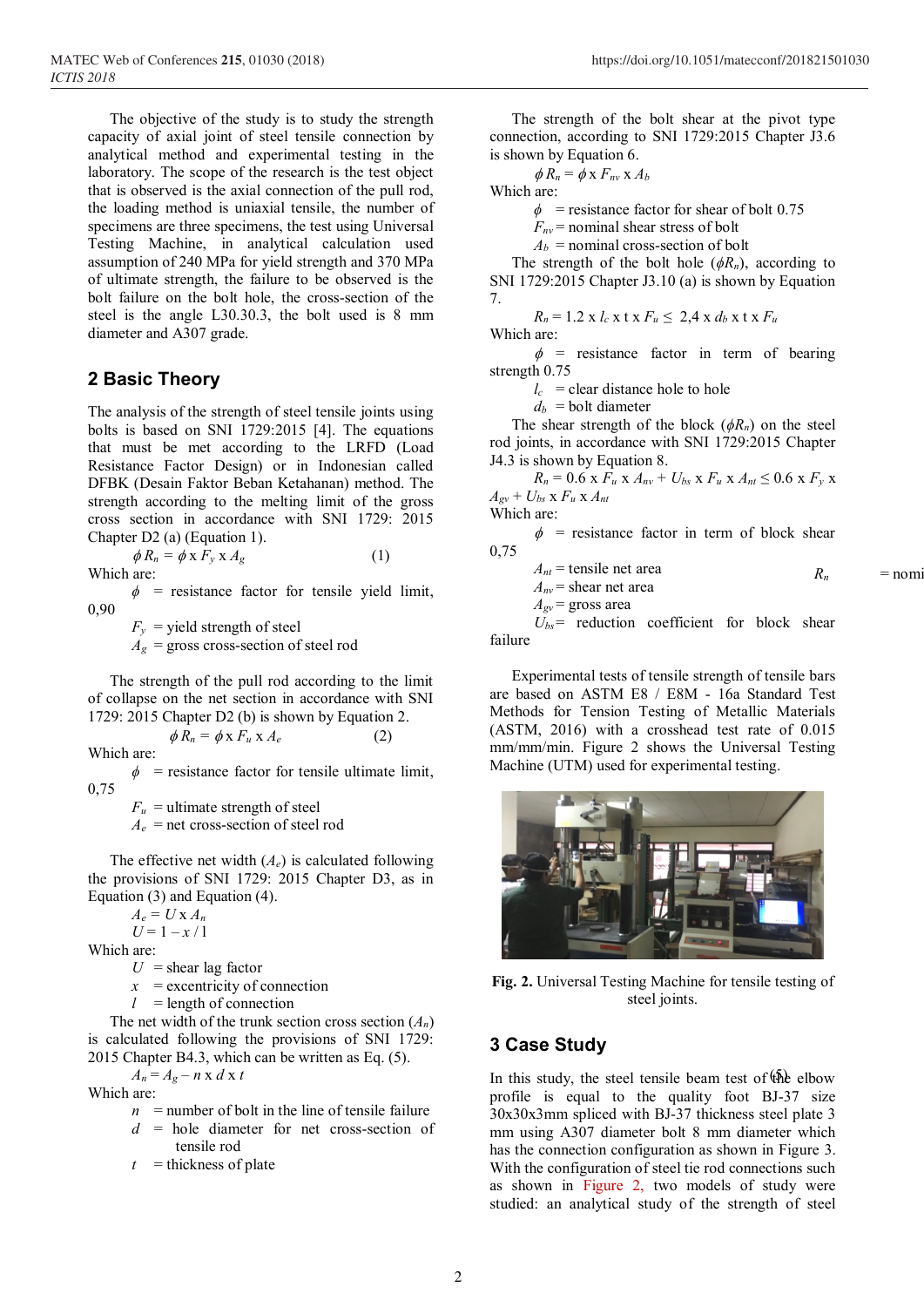The objective of the study is to study the strength capacity of axial joint of steel tensile connection by analytical method and experimental testing in the laboratory. The scope of the research is the test object that is observed is the axial connection of the pull rod, the loading method is uniaxial tensile, the number of specimens are three specimens, the test using Universal Testing Machine, in analytical calculation used assumption of 240 MPa for yield strength and 370 MPa of ultimate strength, the failure to be observed is the bolt failure on the bolt hole, the cross-section of the steel is the angle L30.30.3, the bolt used is 8 mm diameter and A307 grade.

### **2 Basic Theory**

The analysis of the strength of steel tensile joints using bolts is based on SNI 1729:2015 [4]. The equations that must be met according to the LRFD (Load Resistance Factor Design) or in Indonesian called DFBK (Desain Faktor Beban Ketahanan) method. The strength according to the melting limit of the gross cross section in accordance with SNI 1729: 2015 Chapter D2 (a) (Equation 1).

 $\phi R_n = \phi \times F_v \times A_g$  (1)

 $\phi$  = resistance factor for tensile yield limit, 0,90

 $F<sub>y</sub>$  = yield strength of steel

 $A_g$  = gross cross-section of steel rod

The strength of the pull rod according to the limit of collapse on the net section in accordance with SNI 1729: 2015 Chapter D2 (b) is shown by Equation 2.

Which are:

 $\phi$  = resistance factor for tensile ultimate limit, 0,75

> $F_u$  = ultimate strength of steel  $A_e$  = net cross-section of steel rod

The effective net width  $(A_e)$  is calculated following the provisions of SNI 1729: 2015 Chapter D3, as in Equation (3) and Equation (4).

 $U = 1 - x / 1$ 

Which are:

- $U =$ shear lag factor
- $x =$  excentricity of connection
- $l =$  length of connection

The net width of the trunk section cross section  $(A_n)$ is calculated following the provisions of SNI 1729: 2015 Chapter B4.3, which can be written as Eq. (5).

Which are:

- $n =$  number of bolt in the line of tensile failure
- *d* = hole diameter for net cross-section of tensile rod

 $t =$ thickness of plate

The strength of the bolt shear at the pivot type connection, according to SNI 1729:2015 Chapter J3.6 is shown by Equation 6.

 $\phi$   $R_n = \phi$  x  $F_{nv}$  x  $A_b$ 

Which are:

 $\phi$  = resistance factor for shear of bolt 0.75

 $F_{nv}$  = nominal shear stress of bolt

 $A_b$  = nominal cross-section of bolt

The strength of the bolt hole  $(\phi R_n)$ , according to SNI 1729:2015 Chapter J3.10 (a) is shown by Equation 7.

$$
R_n = 1.2 \times l_c \times t \times F_u \le 2.4 \times d_b \times t \times F_u
$$
\nWhich are:

 $\phi$  = resistance factor in term of bearing strength 0.75

 $l_c$  = clear distance hole to hole

 $d_b$  = bolt diameter

The shear strength of the block  $(\phi R_n)$  on the steel rod joints, in accordance with SNI 1729:2015 Chapter J4.3 is shown by Equation 8.

 $R_n = 0.6$  x  $F_u$  x  $A_{nv}$  +  $U_{bs}$  x  $F_u$  x  $A_{nt} \le 0.6$  x  $F_v$  x  $A_{\rm gv} + U_{\rm bs} \times F_u \times A_{\rm nt}$ Which are:

 $\phi$  = resistance factor in term of block shear 0,75

Which are:  
\n
$$
\phi = \text{resistance factor for tensile yield limit,}
$$
\n
$$
A_{nt} = \text{tensile net area}
$$
\n
$$
A_{nv} = \text{shear net area}
$$
\n
$$
A_{gv} = \text{gross area}
$$
\n
$$
A_{gv} = \text{gross area}
$$
\n
$$
A_{gv} = \text{gross area}
$$

 $U_{bs}$ = reduction coefficient for block shear failure

 $\phi R_n = \phi x F_u x A_e$  (2) (ASTM, 2016) with a crosshead test rate of 0.015 Experimental tests of tensile strength of tensile bars are based on ASTM E8 / E8M - 16a Standard Test Methods for Tension Testing of Metallic Materials mm/mm/min. Figure 2 shows the Universal Testing Machine (UTM) used for experimental testing.



**Fig. 2.** Universal Testing Machine for tensile testing of steel joints.

### **3 Case Study**

 $A_n = A_g - n x dx t$  In this study, the steel tensile beam test of the elbow profile is equal to the quality foot BJ-37 size 30x30x3mm spliced with BJ-37 thickness steel plate 3 mm using A307 diameter bolt 8 mm diameter which has the connection configuration as shown in Figure 3. With the configuration of steel tie rod connections such as shown in Figure 2, two models of study were studied: an analytical study of the strength of steel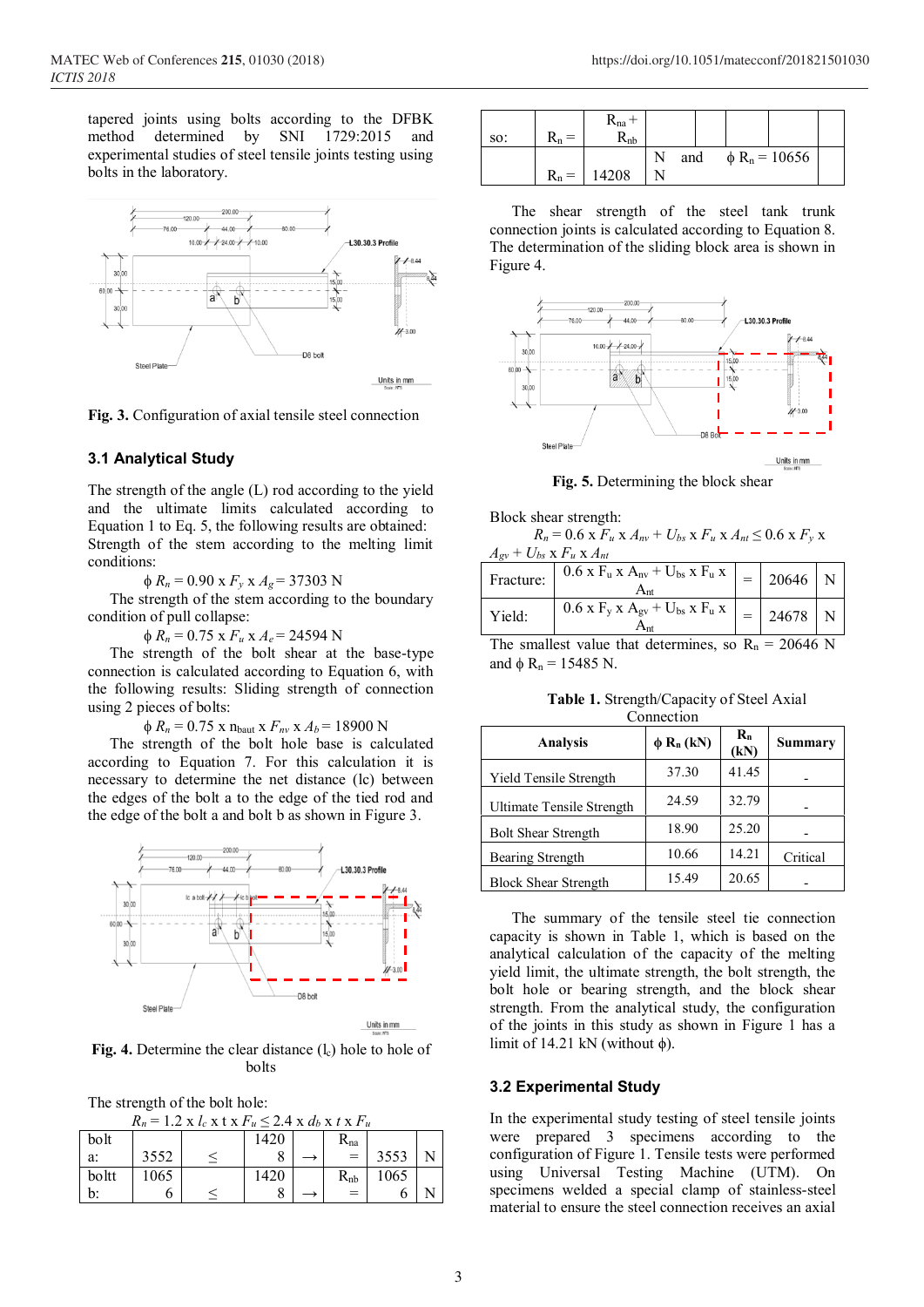tapered joints using bolts according to the DFBK method determined by SNI 1729:2015 and experimental studies of steel tensile joints testing using bolts in the laboratory.



**Fig. 3.** Configuration of axial tensile steel connection

#### **3.1 Analytical Study**

The strength of the angle (L) rod according to the yield and the ultimate limits calculated according to Equation 1 to Eq. 5, the following results are obtained: Strength of the stem according to the melting limit conditions:

 $\oint R_n = 0.90 \text{ x } F_v \text{ x } A_g = 37303 \text{ N}$ 

The strength of the stem according to the boundary condition of pull collapse:

 $\oint R_n = 0.75$  x  $F_u$  x  $A_e = 24594$  N

The strength of the bolt shear at the base-type connection is calculated according to Equation 6, with the following results: Sliding strength of connection using 2 pieces of bolts:

 $\oint R_n = 0.75$  x  $n_{\text{baut}}$  x  $F_{nv}$  x  $A_b = 18900$  N

The strength of the bolt hole base is calculated according to Equation 7. For this calculation it is necessary to determine the net distance (lc) between the edges of the bolt a to the edge of the tied rod and the edge of the bolt a and bolt b as shown in Figure 3.



**Fig. 4.** Determine the clear distance  $(l_c)$  hole to hole of bolts

The strength of the bolt hole:

| $R_n = 1.2$ x $l_c$ x t x $F_u \leq 2.4$ x $d_b$ x t x $F_u$ |      |  |      |  |          |      |  |
|--------------------------------------------------------------|------|--|------|--|----------|------|--|
| bolt                                                         |      |  | 1420 |  | $R_{na}$ |      |  |
| a:                                                           | 3552 |  |      |  | $=$      | 3553 |  |
| boltt                                                        | 1065 |  | 1420 |  | $R_{nb}$ | 1065 |  |
| $\mathbf{b}$                                                 |      |  |      |  |          |      |  |

| SO: | $K_n =$ | $R_{na}$ +<br>$R_{nb}$ |  |     |                               |  |
|-----|---------|------------------------|--|-----|-------------------------------|--|
|     | $R_n =$ | 14208                  |  | and | $\phi$ R <sub>n</sub> = 10656 |  |

The shear strength of the steel tank trunk connection joints is calculated according to Equation 8. The determination of the sliding block area is shown in Figure 4.



**Fig. 5.** Determining the block shear

Block shear strength:<br> $R = 0.6 \times F \times 4$ 

| $R_n = 0.6$ x $F_u$ x $A_{nv}$ + $U_{bs}$ x $F_u$ x $A_{nt} \le 0.6$ x $F_v$ x |                                                                                                                    |  |  |  |  |  |
|--------------------------------------------------------------------------------|--------------------------------------------------------------------------------------------------------------------|--|--|--|--|--|
| $A_{\rm gv}$ + $U_{\rm bs}$ x $F_u$ x $A_{\rm nt}$                             |                                                                                                                    |  |  |  |  |  |
|                                                                                | Fracture: $\begin{vmatrix} 0.6 \times F_u \times A_{nv} + U_{bs} \times F_u \times A_{nt} \end{vmatrix} = 20646 N$ |  |  |  |  |  |
| Yield:                                                                         | $0.6 \times F_y \times A_{gy} + U_{bs} \times F_u \times$ = 24678 N                                                |  |  |  |  |  |

The smallest value that determines, so  $R_n = 20646$  N and  $\phi$  R<sub>n</sub> = 15485 N.

**Table 1.** Strength/Capacity of Steel Axial Connection

| <b>Analysis</b>               | $\phi$ R <sub>n</sub> (kN) | Rn<br>(kN) | Summary  |
|-------------------------------|----------------------------|------------|----------|
| <b>Yield Tensile Strength</b> | 37.30                      | 41.45      |          |
| Ultimate Tensile Strength     | 24.59                      | 32.79      |          |
| <b>Bolt Shear Strength</b>    | 18.90                      | 25.20      |          |
| Bearing Strength              | 10.66                      | 14.21      | Critical |
| <b>Block Shear Strength</b>   | 15.49                      | 20.65      |          |

The summary of the tensile steel tie connection capacity is shown in Table 1, which is based on the analytical calculation of the capacity of the melting yield limit, the ultimate strength, the bolt strength, the bolt hole or bearing strength, and the block shear strength. From the analytical study, the configuration of the joints in this study as shown in Figure 1 has a limit of 14.21 kN (without  $\phi$ ).

#### **3.2 Experimental Study**

In the experimental study testing of steel tensile joints were prepared 3 specimens according to the configuration of Figure 1. Tensile tests were performed using Universal Testing Machine (UTM). On specimens welded a special clamp of stainless-steel material to ensure the steel connection receives an axial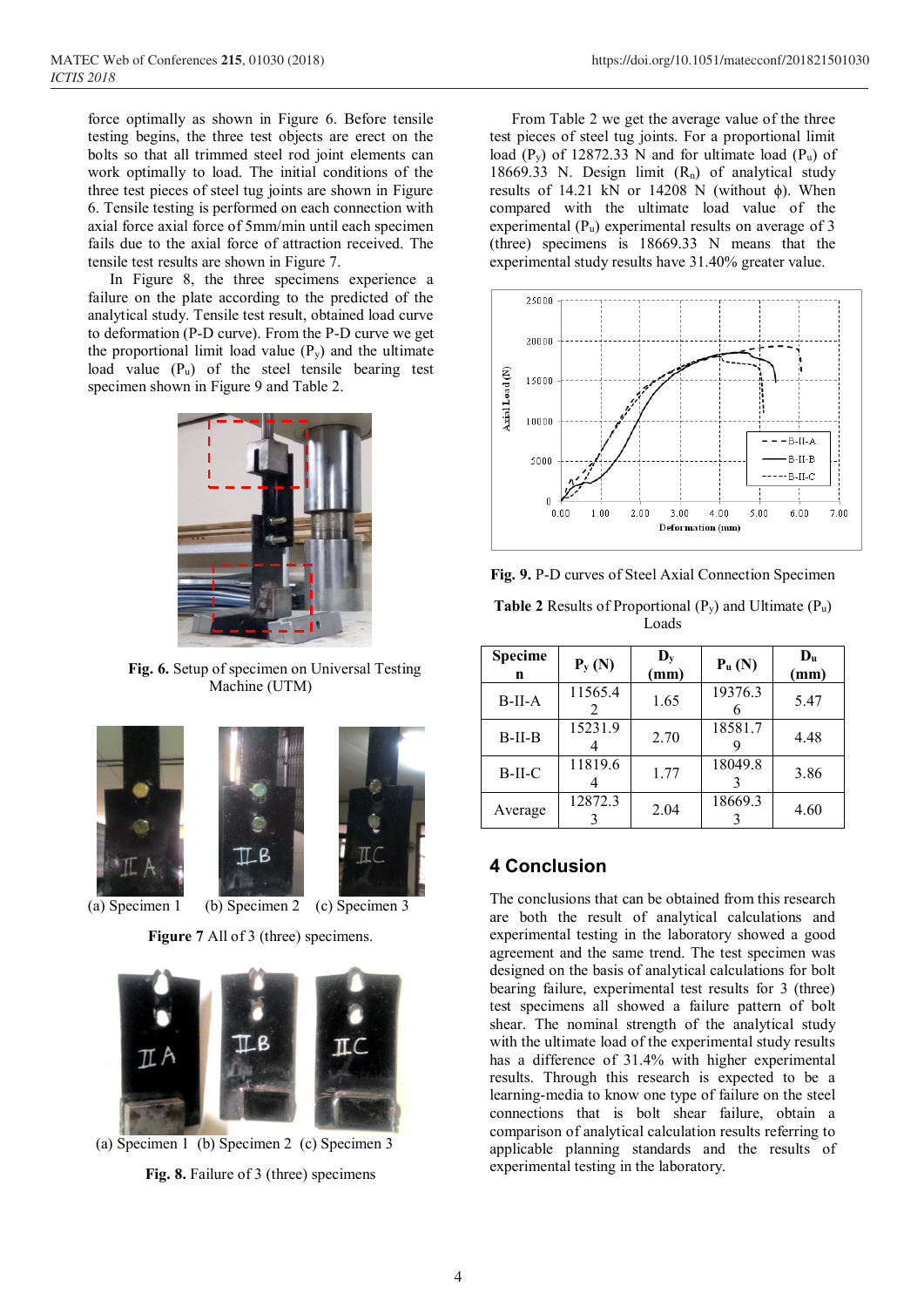force optimally as shown in Figure 6. Before tensile testing begins, the three test objects are erect on the bolts so that all trimmed steel rod joint elements can work optimally to load. The initial conditions of the three test pieces of steel tug joints are shown in Figure 6. Tensile testing is performed on each connection with axial force axial force of 5mm/min until each specimen fails due to the axial force of attraction received. The tensile test results are shown in Figure 7.

In Figure 8, the three specimens experience a failure on the plate according to the predicted of the analytical study. Tensile test result, obtained load curve to deformation (P-D curve). From the P-D curve we get the proportional limit load value  $(P_y)$  and the ultimate load value  $(P_u)$  of the steel tensile bearing test specimen shown in Figure 9 and Table 2.



**Fig. 6.** Setup of specimen on Universal Testing Machine (UTM)





(a) Specimen 1 (b) Specimen 2 (c) Specimen 3

 $\pi$ 

**Figure 7** All of 3 (three) specimens.



 (a) Specimen 1 (b) Specimen 2 (c) Specimen 3 **Fig. 8.** Failure of 3 (three) specimens

From Table 2 we get the average value of the three test pieces of steel tug joints. For a proportional limit load  $(P_v)$  of 12872.33 N and for ultimate load  $(P_u)$  of 18669.33 N. Design limit  $(R_n)$  of analytical study results of 14.21 kN or 14208 N (without  $\phi$ ). When compared with the ultimate load value of the experimental  $(P_u)$  experimental results on average of 3 (three) specimens is 18669.33 N means that the experimental study results have 31.40% greater value.



**Fig. 9.** P-D curves of Steel Axial Connection Specimen

| <b>Table 2</b> Results of Proportional $(P_y)$ and Ultimate $(P_u)$ |  |
|---------------------------------------------------------------------|--|
| Loads.                                                              |  |

| <b>Specime</b><br>n | $P_{y}(N)$                             | $\mathbf{D}_{\mathbf{y}}$<br>(mm) | $P_u(N)$ | ${\bf D}_u$<br>(mm) |
|---------------------|----------------------------------------|-----------------------------------|----------|---------------------|
| $B-II-A$            | 11565.4<br>$\mathcal{D}_{\mathcal{L}}$ | 1.65                              | 19376.3  | 5.47                |
| $B-II-B$            | 15231.9                                | 2.70                              | 18581.7  | 4.48                |
| $B-II-C$            | 11819.6                                | 1.77                              | 18049.8  | 3.86                |
| Average             | 12872.3                                | 2.04                              | 18669.3  | 4.60                |

# **4 Conclusion**

The conclusions that can be obtained from this research are both the result of analytical calculations and experimental testing in the laboratory showed a good agreement and the same trend. The test specimen was designed on the basis of analytical calculations for bolt bearing failure, experimental test results for 3 (three) test specimens all showed a failure pattern of bolt shear. The nominal strength of the analytical study with the ultimate load of the experimental study results has a difference of 31.4% with higher experimental results. Through this research is expected to be a learning-media to know one type of failure on the steel connections that is bolt shear failure, obtain a comparison of analytical calculation results referring to applicable planning standards and the results of experimental testing in the laboratory.